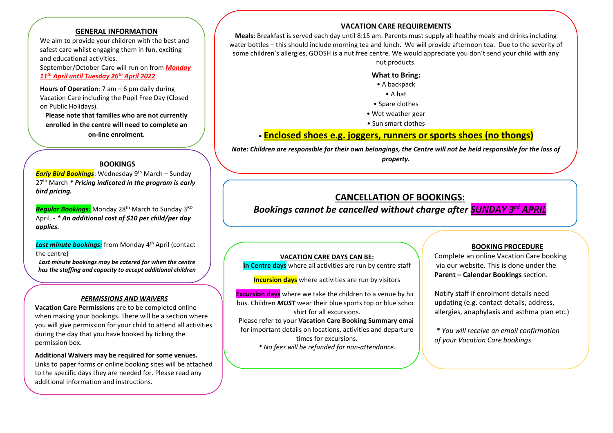## **GENERAL INFORMATION**

We aim to provide your children with the best and safest care whilst engaging them in fun, exciting and educational activities.

September/October Care will run on from *Monday 11th April until Tuesday 26th April 2022*

**Hours of Operation**: 7 am – 6 pm daily during Vacation Care including the Pupil Free Day (Closed on Public Holidays).

**Please note that families who are not currently enrolled in the centre will need to complete an on-line enrolment.**

#### **BOOKINGS**

 $\overline{\phantom{a}}$ 

*Early Bird Bookings*: Wednesday 9<sup>th</sup> March – Sunday 27th March *\* Pricing indicated in the program is early bird pricing.*

**Regular Bookings:** Monday 28<sup>th</sup> March to Sunday 3<sup>RD</sup> April. - *\* An additional cost of \$10 per child/per day applies.*

**Last minute bookings:** from Monday 4<sup>th</sup> April (contact the centre)

*Last minute bookings may be catered for when the centre has the staffing and capacity to accept additional children* 

#### *PERMISSIONS AND WAIVERS*

**Vacation Care Permissions** are to be completed online when making your bookings. There will be a section where you will give permission for your child to attend all activities during the day that you have booked by ticking the permission box.

**Additional Waivers may be required for some venues.**  Links to paper forms or online booking sites will be attached to the specific days they are needed for. Please read any additional information and instructions.

# **VACATION CARE REQUIREMENTS**

**Meals:** Breakfast is served each day until 8:15 am. Parents must supply all healthy meals and drinks including water bottles – this should include morning tea and lunch. We will provide afternoon tea. Due to the severity of some children's allergies, GOOSH is a nut free centre. We would appreciate you don't send your child with any nut products.

#### **What to Bring:**

- A backpack
- A hat
- Spare clothes
- Wet weather gear
- Sun smart clothes

# • **Enclosed shoes e.g. joggers, runners or sports shoes (no thongs)**

*Note: Children are responsible for their own belongings, the Centre will not be held responsible for the loss of* 

*property.*

# **CANCELLATION OF BOOKINGS:**

*Bookings cannot be cancelled without charge after SUNDAY 3 rd APRIL*

#### **VACATION CARE DAYS CAN BE:**

**In Centre days** where all activities are run by centre staff

**Incursion days** where activities are run by visitors

**Excursion days** where we take the children to a venue by hir bus. Children *MUST* wear their blue sports top or blue school shirt for all excursions.

Please refer to your **Vacation Care Booking Summary email**  for important details on locations, activities and departure times for excursions. *\* No fees will be refunded for non-attendance.*

### **BOOKING PROCEDURE**

Complete an online Vacation Care booking via our website. This is done under the **Parent – Calendar Bookings** section.

Notify staff if enrolment details need updating (e.g. contact details, address, allergies, anaphylaxis and asthma plan etc.)

*\* You will receive an email confirmation of your Vacation Care bookings*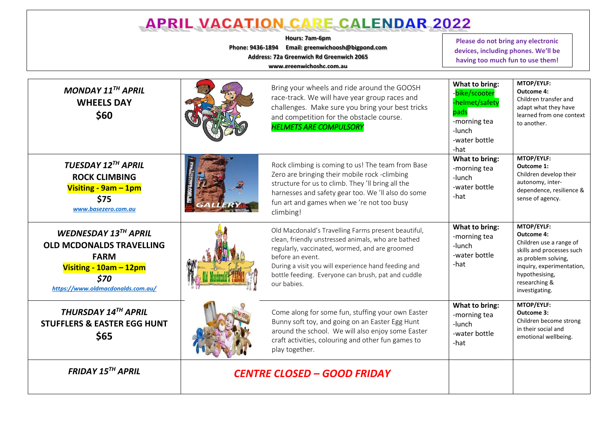| <b>APRIL VACATION CARE CALENDAR 2022</b>                                                                                                      |                                    |                                                                                                                                                                                                                                                                                                             |                                                                                                             |                                                                                                                                                                                           |  |  |  |
|-----------------------------------------------------------------------------------------------------------------------------------------------|------------------------------------|-------------------------------------------------------------------------------------------------------------------------------------------------------------------------------------------------------------------------------------------------------------------------------------------------------------|-------------------------------------------------------------------------------------------------------------|-------------------------------------------------------------------------------------------------------------------------------------------------------------------------------------------|--|--|--|
| Hours: 7am-6pm<br>Phone: 9436-1894 Email: greenwichoosh@bigpond.com<br>Address: 72a Greenwich Rd Greenwich 2065<br>www.greenwichoshc.com.au   |                                    |                                                                                                                                                                                                                                                                                                             |                                                                                                             | Please do not bring any electronic<br>devices, including phones. We'll be<br>having too much fun to use them!                                                                             |  |  |  |
| MONDAY $11^{TH}$ APRIL<br><b>WHEELS DAY</b><br>\$60                                                                                           |                                    | Bring your wheels and ride around the GOOSH<br>race-track. We will have year group races and<br>challenges. Make sure you bring your best tricks<br>and competition for the obstacle course.<br><b>HELMETS ARE COMPULSORY</b>                                                                               | What to bring:<br>bike/scooter<br>-helmet/safety<br>pads<br>-morning tea<br>-lunch<br>-water bottle<br>-hat | MTOP/EYLF:<br><b>Outcome 4:</b><br>Children transfer and<br>adapt what they have<br>learned from one context<br>to another.                                                               |  |  |  |
| TUESDAY 12TH APRIL<br><b>ROCK CLIMBING</b><br>Visiting - 9am - 1pm<br>\$75<br>www.basezero.com.au                                             |                                    | Rock climbing is coming to us! The team from Base<br>Zero are bringing their mobile rock -climbing<br>structure for us to climb. They 'll bring all the<br>harnesses and safety gear too. We 'll also do some<br>fun art and games when we 're not too busy<br>climbing!                                    | What to bring:<br>-morning tea<br>-lunch<br>-water bottle<br>-hat                                           | MTOP/EYLF:<br>Outcome 1:<br>Children develop their<br>autonomy, inter-<br>dependence, resilience &<br>sense of agency.                                                                    |  |  |  |
| WEDNESDAY 13TH APRIL<br><b>OLD MCDONALDS TRAVELLING</b><br><b>FARM</b><br>Visiting - 10am - 12pm<br>\$70<br>https://www.oldmacdonalds.com.au/ |                                    | Old Macdonald's Travelling Farms present beautiful,<br>clean, friendly unstressed animals, who are bathed<br>regularly, vaccinated, wormed, and are groomed<br>before an event.<br>During a visit you will experience hand feeding and<br>bottle feeding. Everyone can brush, pat and cuddle<br>our babies. | What to bring:<br>-morning tea<br>-lunch<br>-water bottle<br>-hat                                           | MTOP/EYLF:<br>Outcome 4:<br>Children use a range of<br>skills and processes such<br>as problem solving,<br>inquiry, experimentation,<br>hypothesising,<br>researching &<br>investigating. |  |  |  |
| THURSDAY 14TH APRIL<br><b>STUFFLERS &amp; EASTER EGG HUNT</b><br>\$65                                                                         |                                    | Come along for some fun, stuffing your own Easter<br>Bunny soft toy, and going on an Easter Egg Hunt<br>around the school. We will also enjoy some Easter<br>craft activities, colouring and other fun games to<br>play together.                                                                           | What to bring:<br>-morning tea<br>-lunch<br>-water bottle<br>-hat                                           | MTOP/EYLF:<br>Outcome 3:<br>Children become strong<br>in their social and<br>emotional wellbeing.                                                                                         |  |  |  |
| <b>FRIDAY 15TH APRIL</b>                                                                                                                      | <b>CENTRE CLOSED - GOOD FRIDAY</b> |                                                                                                                                                                                                                                                                                                             |                                                                                                             |                                                                                                                                                                                           |  |  |  |